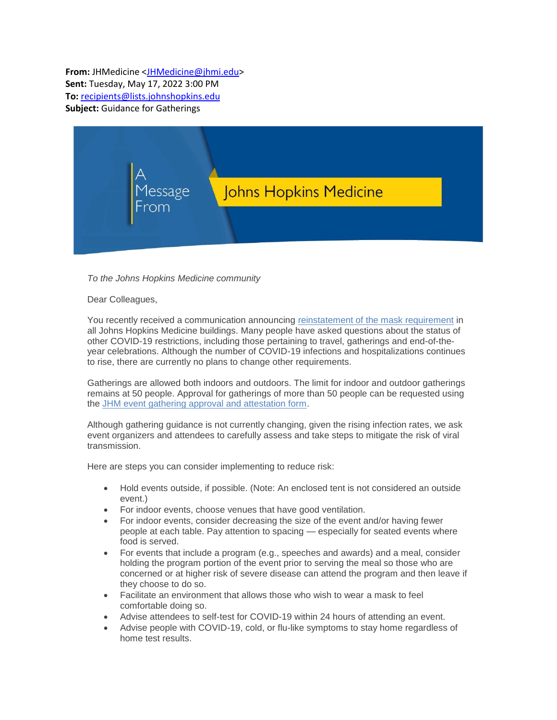**From:** JHMedicine [<JHMedicine@jhmi.edu>](mailto:JHMedicine@jhmi.edu) **Sent:** Tuesday, May 17, 2022 3:00 PM **To:** [recipients@lists.johnshopkins.edu](mailto:recipients@lists.johnshopkins.edu) **Subject:** Guidance for Gatherings



## *To the Johns Hopkins Medicine community*

## Dear Colleagues,

You recently received a communication announcing [reinstatement of the mask requirement](https://s.bl-1.com/h/dqxHLV4x?url=https://intranet.insidehopkinsmedicine.org/heic/_docs/2019-nCoV_2022_4_29_jhm_universal_masking_requirement_will_resume_on_may_2.pdf) in all Johns Hopkins Medicine buildings. Many people have asked questions about the status of other COVID-19 restrictions, including those pertaining to travel, gatherings and end-of-theyear celebrations. Although the number of COVID-19 infections and hospitalizations continues to rise, there are currently no plans to change other requirements.

Gatherings are allowed both indoors and outdoors. The limit for indoor and outdoor gatherings remains at 50 people. Approval for gatherings of more than 50 people can be requested using the [JHM event gathering approval and attestation form.](https://s.bl-1.com/h/dqxHLZTz?url=https://forms.jh.edu/view_jhm_secure.php?id=389666)

Although gathering guidance is not currently changing, given the rising infection rates, we ask event organizers and attendees to carefully assess and take steps to mitigate the risk of viral transmission.

Here are steps you can consider implementing to reduce risk:

- Hold events outside, if possible. (Note: An enclosed tent is not considered an outside event.)
- For indoor events, choose venues that have good ventilation.
- For indoor events, consider decreasing the size of the event and/or having fewer people at each table. Pay attention to spacing — especially for seated events where food is served.
- For events that include a program (e.g., speeches and awards) and a meal, consider holding the program portion of the event prior to serving the meal so those who are concerned or at higher risk of severe disease can attend the program and then leave if they choose to do so.
- Facilitate an environment that allows those who wish to wear a mask to feel comfortable doing so.
- Advise attendees to self-test for COVID-19 within 24 hours of attending an event.
- Advise people with COVID-19, cold, or flu-like symptoms to stay home regardless of home test results.